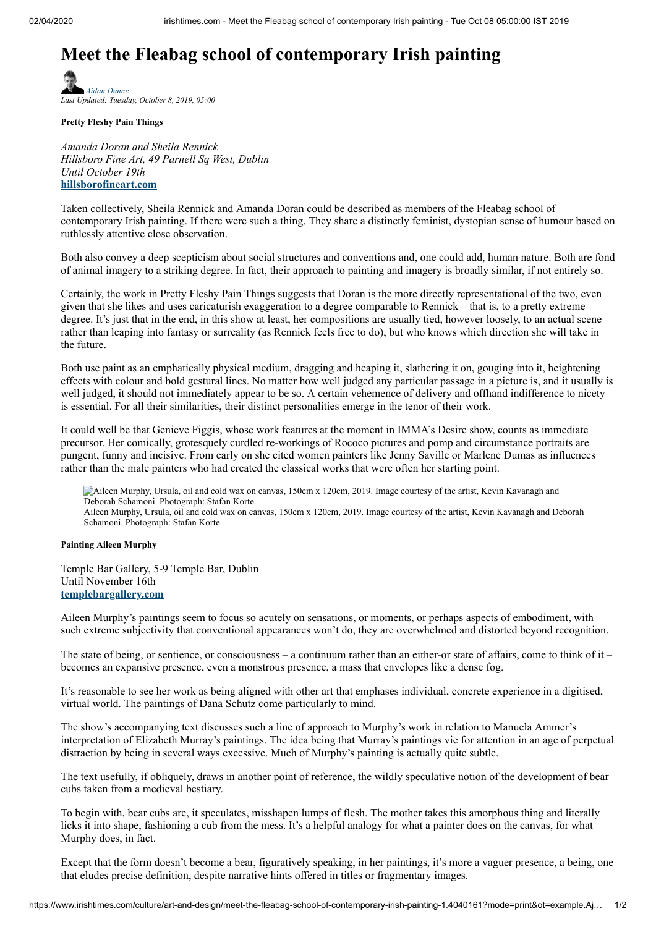## **Meet the Fleabag school of contemporary Irish painting**

*Adan Dunne Last Updated: Tuesday, October 8, 2019, 05:00*

**Pretty Fleshy Pain Things**

*Amanda Doran and Sheila Rennick Hillsboro Fine Art, 49 Parnell Sq West, Dublin Until October 19th* **[hillsborofineart.com](http://www.hillsborofineart.com/?si=6)**

Taken collectively, Sheila Rennick and Amanda Doran could be described as members of the Fleabag school of contemporary Irish painting. If there were such a thing. They share a distinctly feminist, dystopian sense of humour based on ruthlessly attentive close observation.

Both also convey a deep scepticism about social structures and conventions and, one could add, human nature. Both are fond of animal imagery to a striking degree. In fact, their approach to painting and imagery is broadly similar, if not entirely so.

Certainly, the work in Pretty Fleshy Pain Things suggests that Doran is the more directly representational of the two, even given that she likes and uses caricaturish exaggeration to a degree comparable to Rennick – that is, to a pretty extreme degree. It's just that in the end, in this show at least, her compositions are usually tied, however loosely, to an actual scene rather than leaping into fantasy or surreality (as Rennick feels free to do), but who knows which direction she will take in the future.

Both use paint as an emphatically physical medium, dragging and heaping it, slathering it on, gouging into it, heightening effects with colour and bold gestural lines. No matter how well judged any particular passage in a picture is, and it usually is well judged, it should not immediately appear to be so. A certain vehemence of delivery and offhand indifference to nicety is essential. For all their similarities, their distinct personalities emerge in the tenor of their work.

It could well be that Genieve Figgis, whose work features at the moment in IMMA's Desire show, counts as immediate precursor. Her comically, grotesquely curdled re-workings of Rococo pictures and pomp and circumstance portraits are pungent, funny and incisive. From early on she cited women painters like Jenny Saville or Marlene Dumas as influences rather than the male painters who had created the classical works that were often her starting point.

Aileen Murphy, Ursula, oil and cold wax on canvas, 150cm x 120cm, 2019. Image courtesy of the artist, Kevin Kavanagh and Deborah Schamoni. Photograph: Stafan Korte.

Aileen Murphy, Ursula, oil and cold wax on canvas, 150cm x 120cm, 2019. Image courtesy of the artist, Kevin Kavanagh and Deborah Schamoni. Photograph: Stafan Korte.

## **Painting Aileen Murphy**

Temple Bar Gallery, 5-9 Temple Bar, Dublin Until November 16th **[templebargallery.com](http://templebargallery.com/)**

Aileen Murphy's paintings seem to focus so acutely on sensations, or moments, or perhaps aspects of embodiment, with such extreme subjectivity that conventional appearances won't do, they are overwhelmed and distorted beyond recognition.

The state of being, or sentience, or consciousness – a continuum rather than an either-or state of affairs, come to think of it – becomes an expansive presence, even a monstrous presence, a mass that envelopes like a dense fog.

It's reasonable to see her work as being aligned with other art that emphases individual, concrete experience in a digitised, virtual world. The paintings of Dana Schutz come particularly to mind.

The show's accompanying text discusses such a line of approach to Murphy's work in relation to Manuela Ammer's interpretation of Elizabeth Murray's paintings. The idea being that Murray's paintings vie for attention in an age of perpetual distraction by being in several ways excessive. Much of Murphy's painting is actually quite subtle.

The text usefully, if obliquely, draws in another point of reference, the wildly speculative notion of the development of bear cubs taken from a medieval bestiary.

To begin with, bear cubs are, it speculates, misshapen lumps of flesh. The mother takes this amorphous thing and literally licks it into shape, fashioning a cub from the mess. It's a helpful analogy for what a painter does on the canvas, for what Murphy does, in fact.

Except that the form doesn't become a bear, figuratively speaking, in her paintings, it's more a vaguer presence, a being, one that eludes precise definition, despite narrative hints offered in titles or fragmentary images.